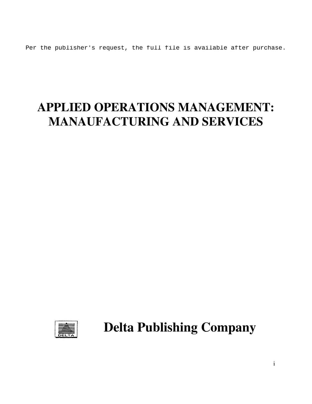Per the publisher's request, the full file is available after purchase.

## **APPLIED OPERATIONS MANAGEMENT: MANAUFACTURING AND SERVICES**



**Delta Publishing Company** 

i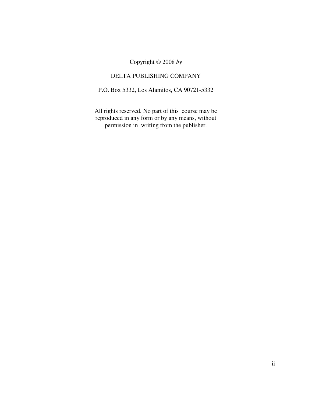Copyright 2008 *by*

## DELTA PUBLISHING COMPANY

P.O. Box 5332, Los Alamitos, CA 90721-5332

All rights reserved. No part of this course may be reproduced in any form or by any means, without permission in writing from the publisher.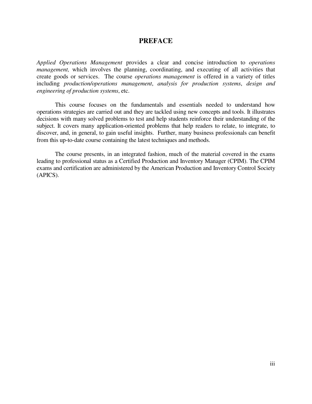## **PREFACE**

*Applied Operations Management* provides a clear and concise introduction to *operations management*, which involves the planning, coordinating, and executing of all activities that create goods or services. The course *operations management* is offered in a variety of titles including *production/operations management*, *analysis for production systems*, *design and engineering of production systems*, etc.

 This course focuses on the fundamentals and essentials needed to understand how operations strategies are carried out and they are tackled using new concepts and tools. It illustrates decisions with many solved problems to test and help students reinforce their understanding of the subject. It covers many application-oriented problems that help readers to relate, to integrate, to discover, and, in general, to gain useful insights. Further, many business professionals can benefit from this up-to-date course containing the latest techniques and methods.

 The course presents, in an integrated fashion, much of the material covered in the exams leading to professional status as a Certified Production and Inventory Manager (CPIM). The CPIM exams and certification are administered by the American Production and Inventory Control Society (APICS).